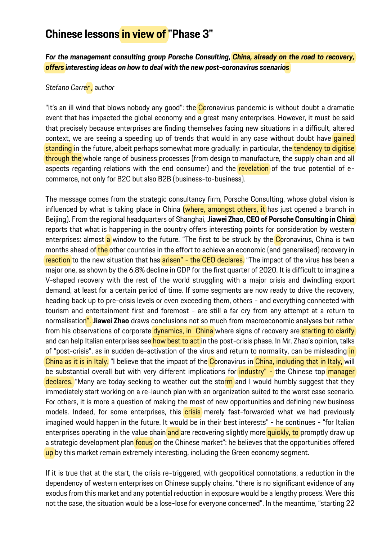## **Chinese lessons in view of "Phase 3"**

*For the management consulting group Porsche Consulting, China, already on the road to recovery, offers interesting ideas on how to deal with the new post-coronavirus scenarios*

## *Stefano Carrer , author*

"It's an ill wind that blows nobody any good": the Coronavirus pandemic is without doubt a dramatic event that has impacted the global economy and a great many enterprises. However, it must be said that precisely because enterprises are finding themselves facing new situations in a difficult, altered context, we are seeing a speeding up of trends that would in any case without doubt have *gained* standing in the future, albeit perhaps somewhat more gradually: in particular, the tendency to digitise through the whole range of business processes (from design to manufacture, the supply chain and all aspects regarding relations with the end consumer) and the revelation of the true potential of ecommerce, not only for B2C but also B2B (business-to-business).

The message comes from the strategic consultancy firm, Porsche Consulting, whose global vision is influenced by what is taking place in China (where, amongst others, it has just opened a branch in Beijing). From the regional headquarters of Shanghai, **Jiawei Zhao, CEO of Porsche Consulting in China** reports that what is happening in the country offers interesting points for consideration by western enterprises: almost a window to the future. "The first to be struck by the Coronavirus, China is two months ahead of the other countries in the effort to achieve an economic (and generalised) recovery in reaction to the new situation that has arisen" - the CEO declares. "The impact of the virus has been a major one, as shown by the 6.8% decline in GDP for the first quarter of 2020. It is difficult to imagine a V-shaped recovery with the rest of the world struggling with a major crisis and dwindling export demand, at least for a certain period of time. If some segments are now ready to drive the recovery, heading back up to pre-crisis levels or even exceeding them, others - and everything connected with tourism and entertainment first and foremost - are still a far cry from any attempt at a return to normalisation". **Jiawei Zhao** draws conclusions not so much from macroeconomic analyses but rather from his observations of corporate dynamics, in China where signs of recovery are starting to clarify and can help Italian enterprises see how best to act in the post-crisis phase. In Mr. Zhao's opinion, talks of "post-crisis", as in sudden de-activation of the virus and return to normality, can be misleading in China as it is in Italy. "I believe that the impact of the Coronavirus in China, including that in Italy, will be substantial overall but with very different implications for *industry"* - the Chinese top manager declares. "Many are today seeking to weather out the storm and I would humbly suggest that they immediately start working on a re-launch plan with an organization suited to the worst case scenario. For others, it is more a question of making the most of new opportunities and defining new business models. Indeed, for some enterprises, this **crisis** merely fast-forwarded what we had previously imagined would happen in the future. It would be in their best interests" - he continues - "for Italian enterprises operating in the value chain and are recovering slightly more quickly, to promptly draw up a strategic development plan **focus** on the Chinese market": he believes that the opportunities offered up by this market remain extremely interesting, including the Green economy segment.

If it is true that at the start, the crisis re-triggered, with geopolitical connotations, a reduction in the dependency of western enterprises on Chinese supply chains, "there is no significant evidence of any exodus from this market and any potential reduction in exposure would be a lengthy process. Were this not the case, the situation would be a lose-lose for everyone concerned". In the meantime, "starting 22